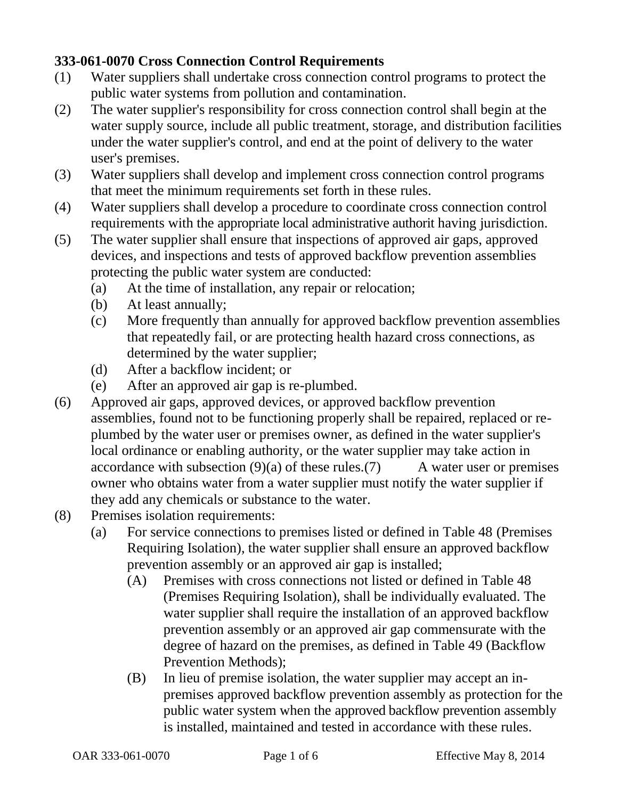## **333-061-0070 Cross Connection Control Requirements**

- (1) Water suppliers shall undertake cross connection control programs to protect the public water systems from pollution and contamination.
- (2) The water supplier's responsibility for cross connection control shall begin at the water supply source, include all public treatment, storage, and distribution facilities under the water supplier's control, and end at the point of delivery to the water user's premises.
- (3) Water suppliers shall develop and implement cross connection control programs that meet the minimum requirements set forth in these rules.
- (4) Water suppliers shall develop a procedure to coordinate cross connection control requirements with the appropriate local administrative authorit having jurisdiction.
- (5) The water supplier shall ensure that inspections of approved air gaps, approved devices, and inspections and tests of approved backflow prevention assemblies protecting the public water system are conducted:
	- (a) At the time of installation, any repair or relocation;
	- (b) At least annually;
	- (c) More frequently than annually for approved backflow prevention assemblies that repeatedly fail, or are protecting health hazard cross connections, as determined by the water supplier;
	- (d) After a backflow incident; or
	- (e) After an approved air gap is re-plumbed.
- (6) Approved air gaps, approved devices, or approved backflow prevention assemblies, found not to be functioning properly shall be repaired, replaced or replumbed by the water user or premises owner, as defined in the water supplier's local ordinance or enabling authority, or the water supplier may take action in accordance with subsection  $(9)(a)$  of these rules.(7) A water user or premises owner who obtains water from a water supplier must notify the water supplier if they add any chemicals or substance to the water.
- (8) Premises isolation requirements:
	- (a) For service connections to premises listed or defined in Table 48 (Premises Requiring Isolation), the water supplier shall ensure an approved backflow prevention assembly or an approved air gap is installed;
		- (A) Premises with cross connections not listed or defined in Table 48 (Premises Requiring Isolation), shall be individually evaluated. The water supplier shall require the installation of an approved backflow prevention assembly or an approved air gap commensurate with the degree of hazard on the premises, as defined in Table 49 (Backflow Prevention Methods);
		- (B) In lieu of premise isolation, the water supplier may accept an inpremises approved backflow prevention assembly as protection for the public water system when the approved backflow prevention assembly is installed, maintained and tested in accordance with these rules.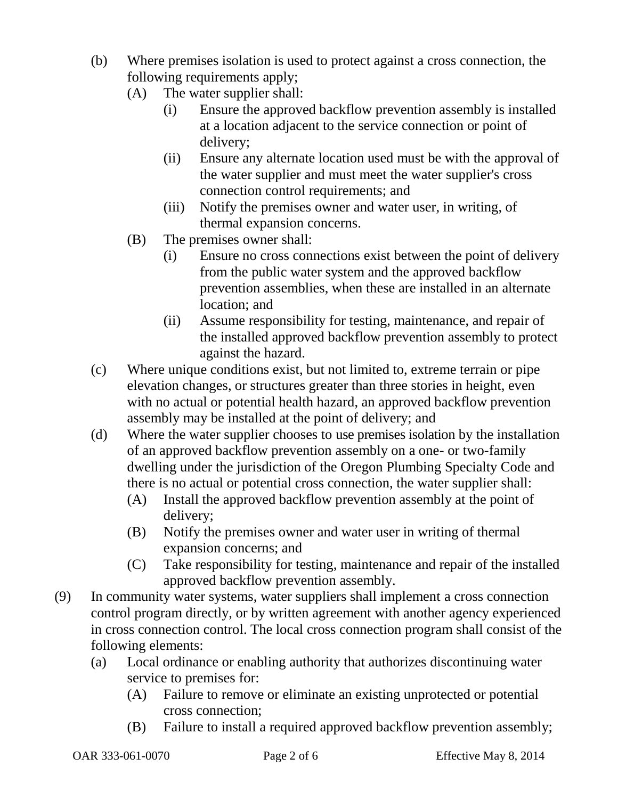- (b) Where premises isolation is used to protect against a cross connection, the following requirements apply;
	- (A) The water supplier shall:
		- (i) Ensure the approved backflow prevention assembly is installed at a location adjacent to the service connection or point of delivery;
		- (ii) Ensure any alternate location used must be with the approval of the water supplier and must meet the water supplier's cross connection control requirements; and
		- (iii) Notify the premises owner and water user, in writing, of thermal expansion concerns.
	- (B) The premises owner shall:
		- (i) Ensure no cross connections exist between the point of delivery from the public water system and the approved backflow prevention assemblies, when these are installed in an alternate location; and
		- (ii) Assume responsibility for testing, maintenance, and repair of the installed approved backflow prevention assembly to protect against the hazard.
- (c) Where unique conditions exist, but not limited to, extreme terrain or pipe elevation changes, or structures greater than three stories in height, even with no actual or potential health hazard, an approved backflow prevention assembly may be installed at the point of delivery; and
- (d) Where the water supplier chooses to use premises isolation by the installation of an approved backflow prevention assembly on a one- or two-family dwelling under the jurisdiction of the Oregon Plumbing Specialty Code and there is no actual or potential cross connection, the water supplier shall:
	- (A) Install the approved backflow prevention assembly at the point of delivery;
	- (B) Notify the premises owner and water user in writing of thermal expansion concerns; and
	- (C) Take responsibility for testing, maintenance and repair of the installed approved backflow prevention assembly.
- (9) In community water systems, water suppliers shall implement a cross connection control program directly, or by written agreement with another agency experienced in cross connection control. The local cross connection program shall consist of the following elements:
	- (a) Local ordinance or enabling authority that authorizes discontinuing water service to premises for:
		- (A) Failure to remove or eliminate an existing unprotected or potential cross connection;
		- (B) Failure to install a required approved backflow prevention assembly;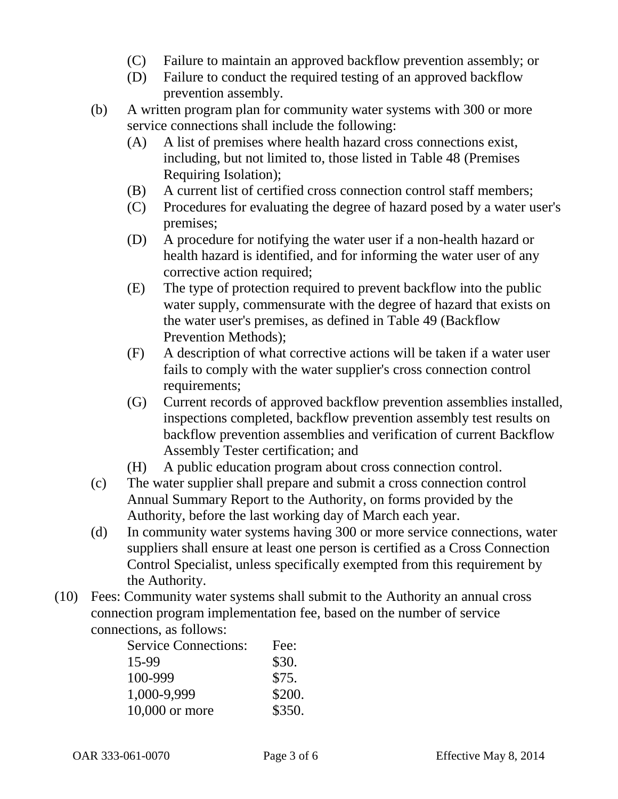- (C) Failure to maintain an approved backflow prevention assembly; or
- (D) Failure to conduct the required testing of an approved backflow prevention assembly.
- (b) A written program plan for community water systems with 300 or more service connections shall include the following:
	- (A) A list of premises where health hazard cross connections exist, including, but not limited to, those listed in Table 48 (Premises Requiring Isolation);
	- (B) A current list of certified cross connection control staff members;
	- (C) Procedures for evaluating the degree of hazard posed by a water user's premises;
	- (D) A procedure for notifying the water user if a non-health hazard or health hazard is identified, and for informing the water user of any corrective action required;
	- (E) The type of protection required to prevent backflow into the public water supply, commensurate with the degree of hazard that exists on the water user's premises, as defined in Table 49 (Backflow Prevention Methods);
	- (F) A description of what corrective actions will be taken if a water user fails to comply with the water supplier's cross connection control requirements;
	- (G) Current records of approved backflow prevention assemblies installed, inspections completed, backflow prevention assembly test results on backflow prevention assemblies and verification of current Backflow Assembly Tester certification; and
	- (H) A public education program about cross connection control.
- (c) The water supplier shall prepare and submit a cross connection control Annual Summary Report to the Authority, on forms provided by the Authority, before the last working day of March each year.
- (d) In community water systems having 300 or more service connections, water suppliers shall ensure at least one person is certified as a Cross Connection Control Specialist, unless specifically exempted from this requirement by the Authority.
- (10) Fees: Community water systems shall submit to the Authority an annual cross connection program implementation fee, based on the number of service connections, as follows:

| <b>Service Connections:</b> | Fee:   |
|-----------------------------|--------|
| 15-99                       | \$30.  |
| 100-999                     | \$75.  |
| 1,000-9,999                 | \$200. |
| 10,000 or more              | \$350. |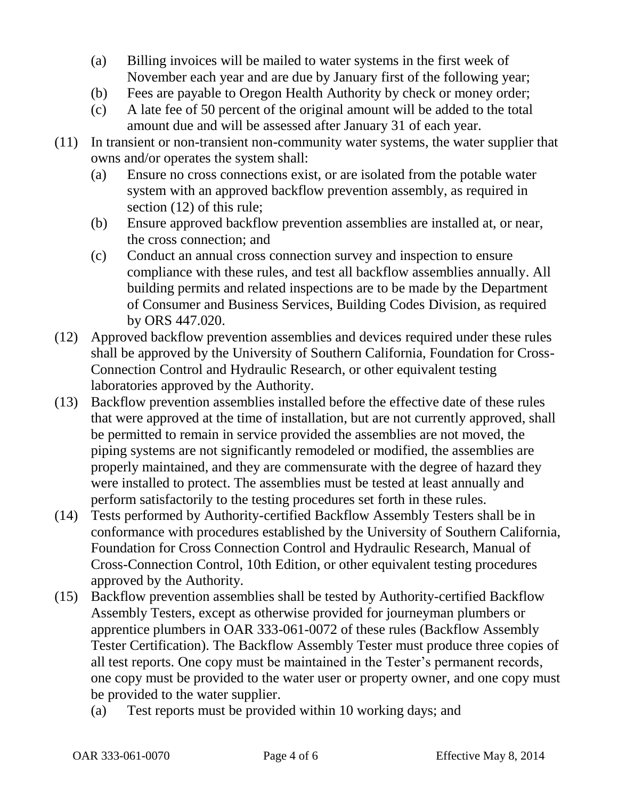- (a) Billing invoices will be mailed to water systems in the first week of November each year and are due by January first of the following year;
- (b) Fees are payable to Oregon Health Authority by check or money order;
- (c) A late fee of 50 percent of the original amount will be added to the total amount due and will be assessed after January 31 of each year.
- (11) In transient or non-transient non-community water systems, the water supplier that owns and/or operates the system shall:
	- (a) Ensure no cross connections exist, or are isolated from the potable water system with an approved backflow prevention assembly, as required in section (12) of this rule;
	- (b) Ensure approved backflow prevention assemblies are installed at, or near, the cross connection; and
	- (c) Conduct an annual cross connection survey and inspection to ensure compliance with these rules, and test all backflow assemblies annually. All building permits and related inspections are to be made by the Department of Consumer and Business Services, Building Codes Division, as required by ORS 447.020.
- (12) Approved backflow prevention assemblies and devices required under these rules shall be approved by the University of Southern California, Foundation for Cross-Connection Control and Hydraulic Research, or other equivalent testing laboratories approved by the Authority.
- (13) Backflow prevention assemblies installed before the effective date of these rules that were approved at the time of installation, but are not currently approved, shall be permitted to remain in service provided the assemblies are not moved, the piping systems are not significantly remodeled or modified, the assemblies are properly maintained, and they are commensurate with the degree of hazard they were installed to protect. The assemblies must be tested at least annually and perform satisfactorily to the testing procedures set forth in these rules.
- (14) Tests performed by Authority-certified Backflow Assembly Testers shall be in conformance with procedures established by the University of Southern California, Foundation for Cross Connection Control and Hydraulic Research, Manual of Cross-Connection Control, 10th Edition, or other equivalent testing procedures approved by the Authority.
- (15) Backflow prevention assemblies shall be tested by Authority-certified Backflow Assembly Testers, except as otherwise provided for journeyman plumbers or apprentice plumbers in OAR 333-061-0072 of these rules (Backflow Assembly Tester Certification). The Backflow Assembly Tester must produce three copies of all test reports. One copy must be maintained in the Tester's permanent records, one copy must be provided to the water user or property owner, and one copy must be provided to the water supplier.
	- (a) Test reports must be provided within 10 working days; and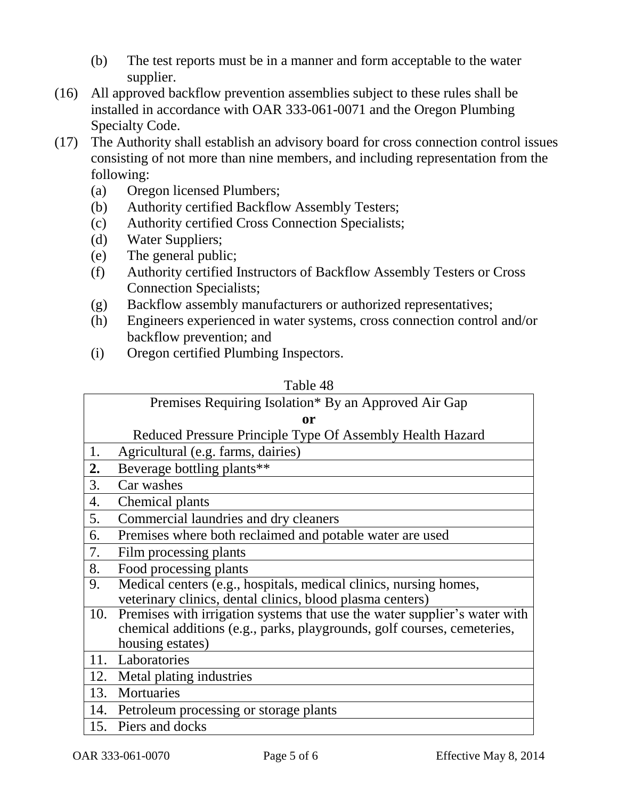- (b) The test reports must be in a manner and form acceptable to the water supplier.
- (16) All approved backflow prevention assemblies subject to these rules shall be installed in accordance with OAR 333-061-0071 and the Oregon Plumbing Specialty Code.
- (17) The Authority shall establish an advisory board for cross connection control issues consisting of not more than nine members, and including representation from the following:
	- (a) Oregon licensed Plumbers;
	- (b) Authority certified Backflow Assembly Testers;
	- (c) Authority certified Cross Connection Specialists;
	- (d) Water Suppliers;
	- (e) The general public;
	- (f) Authority certified Instructors of Backflow Assembly Testers or Cross Connection Specialists;
	- (g) Backflow assembly manufacturers or authorized representatives;
	- (h) Engineers experienced in water systems, cross connection control and/or backflow prevention; and
	- (i) Oregon certified Plumbing Inspectors.

## Table 48

|     | Premises Requiring Isolation* By an Approved Air Gap                      |  |
|-----|---------------------------------------------------------------------------|--|
| or  |                                                                           |  |
|     | Reduced Pressure Principle Type Of Assembly Health Hazard                 |  |
| 1.  | Agricultural (e.g. farms, dairies)                                        |  |
| 2.  | Beverage bottling plants**                                                |  |
| 3.  | Car washes                                                                |  |
| 4.  | Chemical plants                                                           |  |
| 5.  | Commercial laundries and dry cleaners                                     |  |
| 6.  | Premises where both reclaimed and potable water are used                  |  |
| 7.  | Film processing plants                                                    |  |
| 8.  | Food processing plants                                                    |  |
| 9.  | Medical centers (e.g., hospitals, medical clinics, nursing homes,         |  |
|     | veterinary clinics, dental clinics, blood plasma centers)                 |  |
| 10. | Premises with irrigation systems that use the water supplier's water with |  |
|     | chemical additions (e.g., parks, playgrounds, golf courses, cemeteries,   |  |
|     | housing estates)                                                          |  |
| 11. | Laboratories                                                              |  |
|     | 12. Metal plating industries                                              |  |
| 13. | Mortuaries                                                                |  |
| 14. | Petroleum processing or storage plants                                    |  |
|     | 15. Piers and docks                                                       |  |